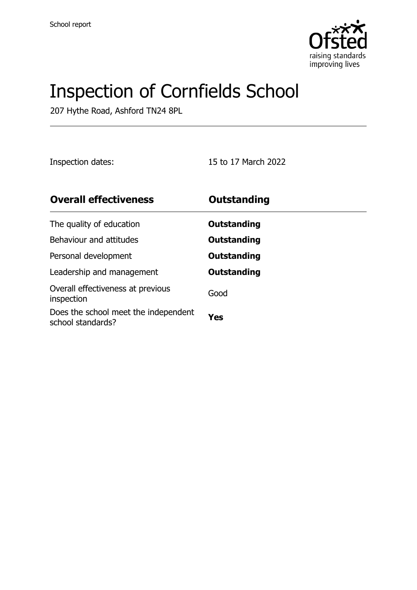

# Inspection of Cornfields School

207 Hythe Road, Ashford TN24 8PL

Inspection dates: 15 to 17 March 2022

| <b>Overall effectiveness</b>                              | <b>Outstanding</b> |
|-----------------------------------------------------------|--------------------|
| The quality of education                                  | Outstanding        |
| Behaviour and attitudes                                   | Outstanding        |
| Personal development                                      | Outstanding        |
| Leadership and management                                 | <b>Outstanding</b> |
| Overall effectiveness at previous<br>inspection           | Good               |
| Does the school meet the independent<br>school standards? | Yes                |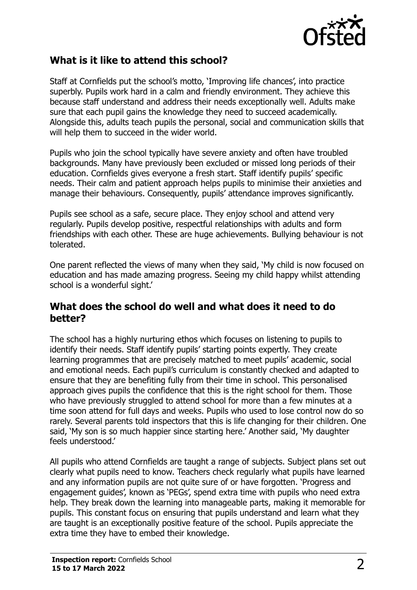

#### **What is it like to attend this school?**

Staff at Cornfields put the school's motto, 'Improving life chances', into practice superbly. Pupils work hard in a calm and friendly environment. They achieve this because staff understand and address their needs exceptionally well. Adults make sure that each pupil gains the knowledge they need to succeed academically. Alongside this, adults teach pupils the personal, social and communication skills that will help them to succeed in the wider world.

Pupils who join the school typically have severe anxiety and often have troubled backgrounds. Many have previously been excluded or missed long periods of their education. Cornfields gives everyone a fresh start. Staff identify pupils' specific needs. Their calm and patient approach helps pupils to minimise their anxieties and manage their behaviours. Consequently, pupils' attendance improves significantly.

Pupils see school as a safe, secure place. They enjoy school and attend very regularly. Pupils develop positive, respectful relationships with adults and form friendships with each other. These are huge achievements. Bullying behaviour is not tolerated.

One parent reflected the views of many when they said, 'My child is now focused on education and has made amazing progress. Seeing my child happy whilst attending school is a wonderful sight.'

#### **What does the school do well and what does it need to do better?**

The school has a highly nurturing ethos which focuses on listening to pupils to identify their needs. Staff identify pupils' starting points expertly. They create learning programmes that are precisely matched to meet pupils' academic, social and emotional needs. Each pupil's curriculum is constantly checked and adapted to ensure that they are benefiting fully from their time in school. This personalised approach gives pupils the confidence that this is the right school for them. Those who have previously struggled to attend school for more than a few minutes at a time soon attend for full days and weeks. Pupils who used to lose control now do so rarely. Several parents told inspectors that this is life changing for their children. One said, 'My son is so much happier since starting here.' Another said, 'My daughter feels understood.'

All pupils who attend Cornfields are taught a range of subjects. Subject plans set out clearly what pupils need to know. Teachers check regularly what pupils have learned and any information pupils are not quite sure of or have forgotten. 'Progress and engagement guides', known as 'PEGs', spend extra time with pupils who need extra help. They break down the learning into manageable parts, making it memorable for pupils. This constant focus on ensuring that pupils understand and learn what they are taught is an exceptionally positive feature of the school. Pupils appreciate the extra time they have to embed their knowledge.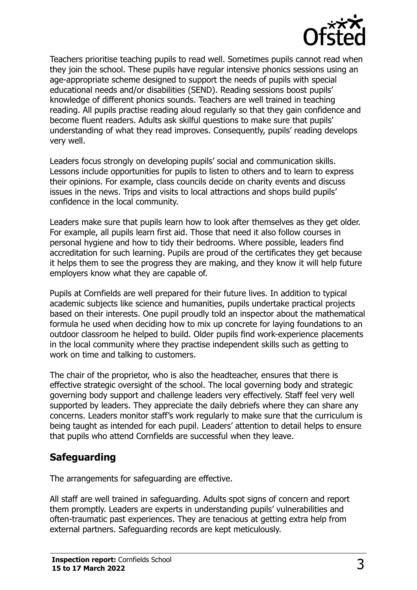

Teachers prioritise teaching pupils to read well. Sometimes pupils cannot read when they join the school. These pupils have regular intensive phonics sessions using an age-appropriate scheme designed to support the needs of pupils with special educational needs and/or disabilities (SEND). Reading sessions boost pupils' knowledge of different phonics sounds. Teachers are well trained in teaching reading. All pupils practise reading aloud regularly so that they gain confidence and become fluent readers. Adults ask skilful questions to make sure that pupils' understanding of what they read improves. Consequently, pupils' reading develops very well.

Leaders focus strongly on developing pupils' social and communication skills. Lessons include opportunities for pupils to listen to others and to learn to express their opinions. For example, class councils decide on charity events and discuss issues in the news. Trips and visits to local attractions and shops build pupils' confidence in the local community.

Leaders make sure that pupils learn how to look after themselves as they get older. For example, all pupils learn first aid. Those that need it also follow courses in personal hygiene and how to tidy their bedrooms. Where possible, leaders find accreditation for such learning. Pupils are proud of the certificates they get because it helps them to see the progress they are making, and they know it will help future employers know what they are capable of.

Pupils at Cornfields are well prepared for their future lives. In addition to typical academic subjects like science and humanities, pupils undertake practical projects based on their interests. One pupil proudly told an inspector about the mathematical formula he used when deciding how to mix up concrete for laying foundations to an outdoor classroom he helped to build. Older pupils find work-experience placements in the local community where they practise independent skills such as getting to work on time and talking to customers.

The chair of the proprietor, who is also the headteacher, ensures that there is effective strategic oversight of the school. The local governing body and strategic governing body support and challenge leaders very effectively. Staff feel very well supported by leaders. They appreciate the daily debriefs where they can share any concerns. Leaders monitor staff's work regularly to make sure that the curriculum is being taught as intended for each pupil. Leaders' attention to detail helps to ensure that pupils who attend Cornfields are successful when they leave.

## **Safeguarding**

The arrangements for safeguarding are effective.

All staff are well trained in safeguarding. Adults spot signs of concern and report them promptly. Leaders are experts in understanding pupils' vulnerabilities and often-traumatic past experiences. They are tenacious at getting extra help from external partners. Safeguarding records are kept meticulously.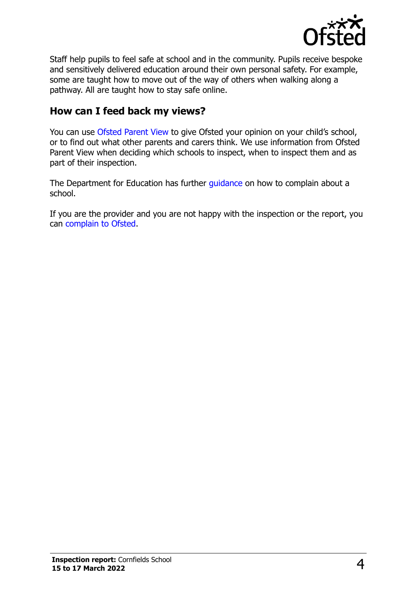

Staff help pupils to feel safe at school and in the community. Pupils receive bespoke and sensitively delivered education around their own personal safety. For example, some are taught how to move out of the way of others when walking along a pathway. All are taught how to stay safe online.

### **How can I feed back my views?**

You can use [Ofsted Parent View](http://parentview.ofsted.gov.uk/) to give Ofsted your opinion on your child's school, or to find out what other parents and carers think. We use information from Ofsted Parent View when deciding which schools to inspect, when to inspect them and as part of their inspection.

The Department for Education has further quidance on how to complain about a school.

If you are the provider and you are not happy with the inspection or the report, you can [complain to Ofsted.](http://www.gov.uk/complain-ofsted-report)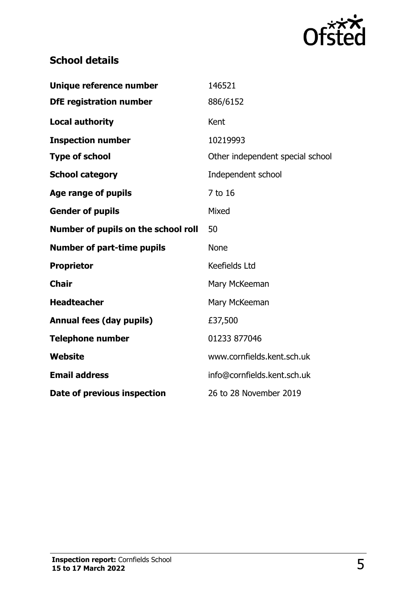

# **School details**

| Unique reference number             | 146521                           |
|-------------------------------------|----------------------------------|
| <b>DfE registration number</b>      | 886/6152                         |
| <b>Local authority</b>              | Kent                             |
| <b>Inspection number</b>            | 10219993                         |
| <b>Type of school</b>               | Other independent special school |
| <b>School category</b>              | Independent school               |
| Age range of pupils                 | 7 to 16                          |
| <b>Gender of pupils</b>             | Mixed                            |
| Number of pupils on the school roll | 50                               |
|                                     |                                  |
| <b>Number of part-time pupils</b>   | <b>None</b>                      |
| <b>Proprietor</b>                   | Keefields Ltd                    |
| <b>Chair</b>                        | Mary McKeeman                    |
| <b>Headteacher</b>                  | Mary McKeeman                    |
| <b>Annual fees (day pupils)</b>     | £37,500                          |
| <b>Telephone number</b>             | 01233 877046                     |
| <b>Website</b>                      | www.cornfields.kent.sch.uk       |
| <b>Email address</b>                | info@cornfields.kent.sch.uk      |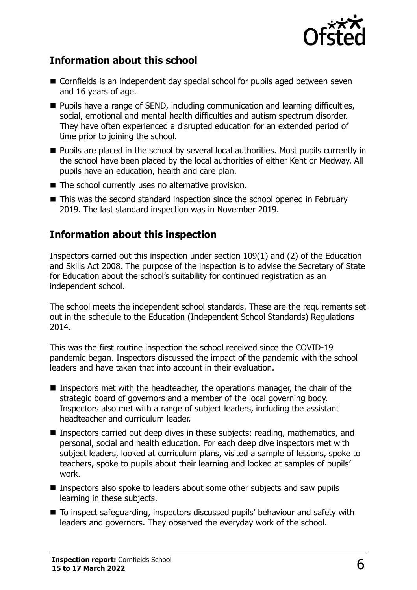

### **Information about this school**

- Cornfields is an independent day special school for pupils aged between seven and 16 years of age.
- **Pupils have a range of SEND, including communication and learning difficulties,** social, emotional and mental health difficulties and autism spectrum disorder. They have often experienced a disrupted education for an extended period of time prior to joining the school.
- **Pupils are placed in the school by several local authorities. Most pupils currently in** the school have been placed by the local authorities of either Kent or Medway. All pupils have an education, health and care plan.
- $\blacksquare$  The school currently uses no alternative provision.
- This was the second standard inspection since the school opened in February 2019. The last standard inspection was in November 2019.

#### **Information about this inspection**

Inspectors carried out this inspection under section 109(1) and (2) of the Education and Skills Act 2008. The purpose of the inspection is to advise the Secretary of State for Education about the school's suitability for continued registration as an independent school.

The school meets the independent school standards. These are the requirements set out in the schedule to the Education (Independent School Standards) Regulations 2014.

This was the first routine inspection the school received since the COVID-19 pandemic began. Inspectors discussed the impact of the pandemic with the school leaders and have taken that into account in their evaluation.

- Inspectors met with the headteacher, the operations manager, the chair of the strategic board of governors and a member of the local governing body. Inspectors also met with a range of subject leaders, including the assistant headteacher and curriculum leader.
- Inspectors carried out deep dives in these subjects: reading, mathematics, and personal, social and health education. For each deep dive inspectors met with subject leaders, looked at curriculum plans, visited a sample of lessons, spoke to teachers, spoke to pupils about their learning and looked at samples of pupils' work.
- Inspectors also spoke to leaders about some other subjects and saw pupils learning in these subjects.
- To inspect safeguarding, inspectors discussed pupils' behaviour and safety with leaders and governors. They observed the everyday work of the school.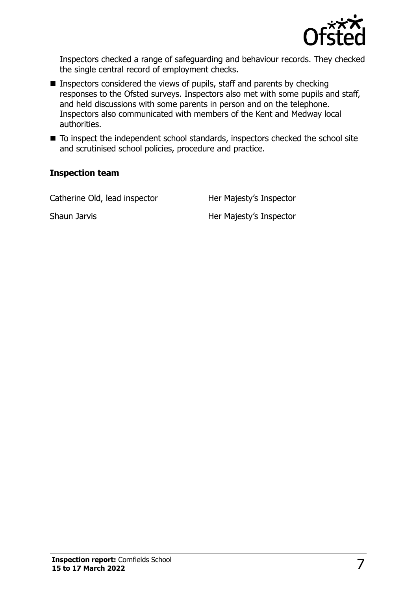

Inspectors checked a range of safeguarding and behaviour records. They checked the single central record of employment checks.

- Inspectors considered the views of pupils, staff and parents by checking responses to the Ofsted surveys. Inspectors also met with some pupils and staff, and held discussions with some parents in person and on the telephone. Inspectors also communicated with members of the Kent and Medway local authorities.
- To inspect the independent school standards, inspectors checked the school site and scrutinised school policies, procedure and practice.

#### **Inspection team**

| Catherine Old, lead inspector | Her Majesty's Inspector |
|-------------------------------|-------------------------|
| Shaun Jarvis                  | Her Majesty's Inspector |